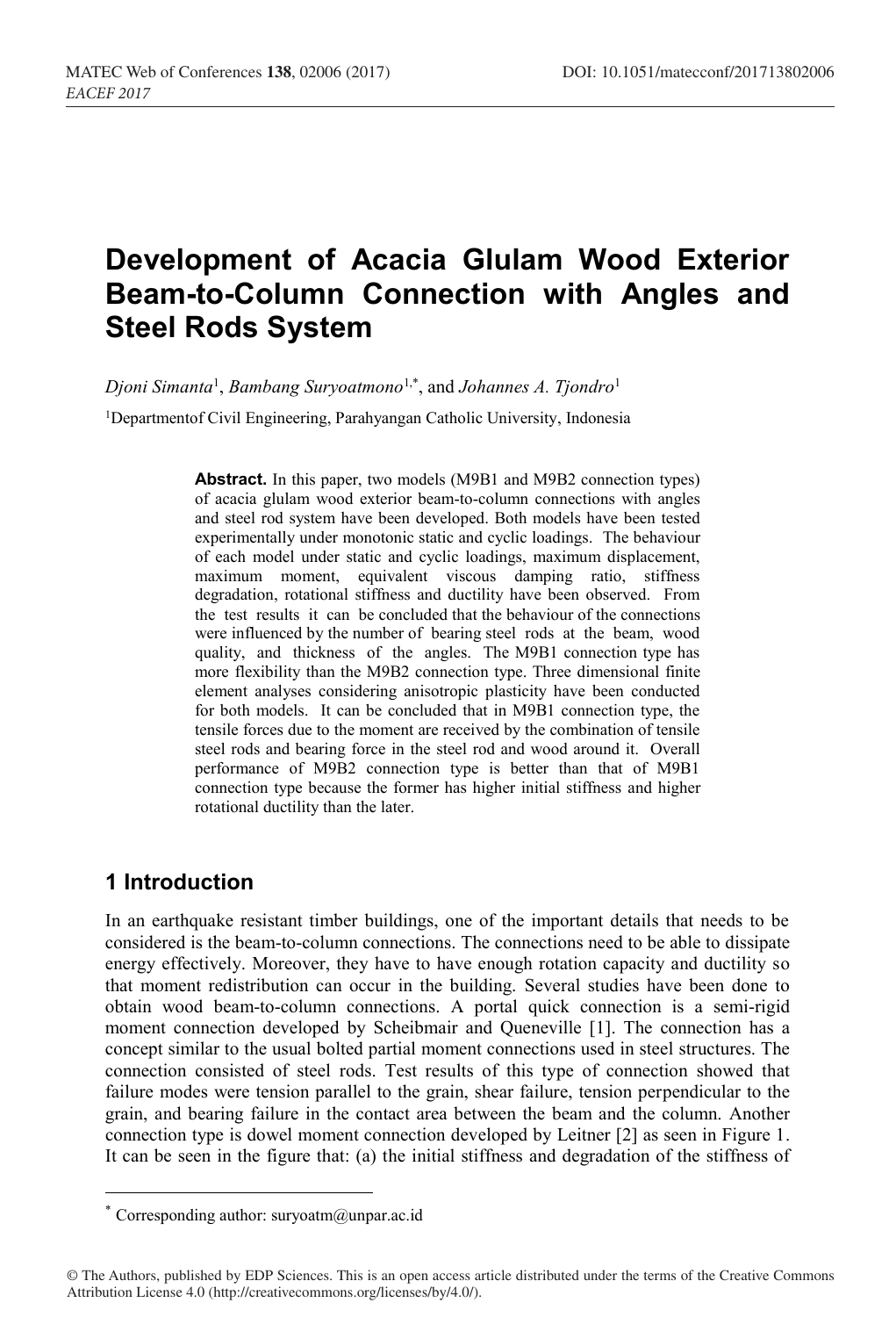# **Development of Acacia Glulam Wood Exterior Beam-to-Column Connection with Angles and Steel Rods System**

*Djoni Simanta*<sup>1</sup> , *Bambang Suryoatmono*1,\* , and *Johannes A. Tjondro*<sup>1</sup>

1Departmentof Civil Engineering, Parahyangan Catholic University, Indonesia

**Abstract.** In this paper, two models (M9B1 and M9B2 connection types) of acacia glulam wood exterior beam-to-column connections with angles and steel rod system have been developed. Both models have been tested experimentally under monotonic static and cyclic loadings. The behaviour of each model under static and cyclic loadings, maximum displacement, maximum moment, equivalent viscous damping ratio, stiffness degradation, rotational stiffness and ductility have been observed. From the test results it can be concluded that the behaviour of the connections were influenced by the number of bearing steel rods at the beam, wood quality, and thickness of the angles. The M9B1 connection type has more flexibility than the M9B2 connection type. Three dimensional finite element analyses considering anisotropic plasticity have been conducted for both models. It can be concluded that in M9B1 connection type, the tensile forces due to the moment are received by the combination of tensile steel rods and bearing force in the steel rod and wood around it. Overall performance of M9B2 connection type is better than that of M9B1 connection type because the former has higher initial stiffness and higher rotational ductility than the later.

## **1 Introduction**

In an earthquake resistant timber buildings, one of the important details that needs to be considered is the beam-to-column connections. The connections need to be able to dissipate energy effectively. Moreover, they have to have enough rotation capacity and ductility so that moment redistribution can occur in the building. Several studies have been done to obtain wood beam-to-column connections. A portal quick connection is a semi-rigid moment connection developed by Scheibmair and Queneville [1]. The connection has a concept similar to the usual bolted partial moment connections used in steel structures. The connection consisted of steel rods. Test results of this type of connection showed that failure modes were tension parallel to the grain, shear failure, tension perpendicular to the grain, and bearing failure in the contact area between the beam and the column. Another connection type is dowel moment connection developed by Leitner [2] as seen in Figure 1. It can be seen in the figure that: (a) the initial stiffness and degradation of the stiffness of

<sup>\*</sup> Corresponding author:  $\text{suryoatm}(a)$ unpar.ac.id

<sup>©</sup> The Authors, published by EDP Sciences. This is an open access article distributed under the terms of the Creative Commons Attribution License 4.0 (http://creativecommons.org/licenses/by/4.0/).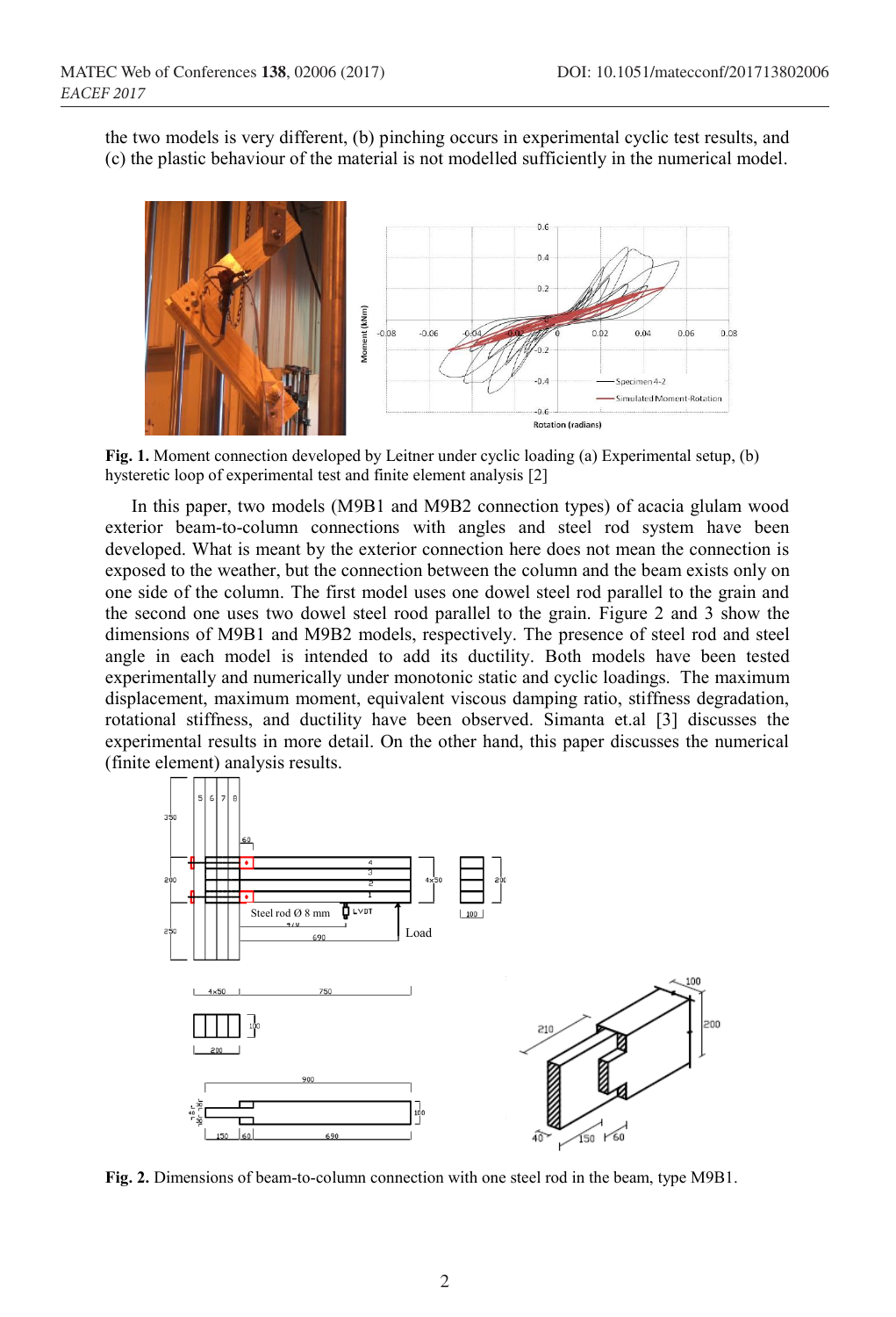the two models is very different, (b) pinching occurs in experimental cyclic test results, and (c) the plastic behaviour of the material is not modelled sufficiently in the numerical model.



**Fig. 1.** Moment connection developed by Leitner under cyclic loading (a) Experimental setup, (b) hysteretic loop of experimental test and finite element analysis [2]

In this paper, two models (M9B1 and M9B2 connection types) of acacia glulam wood exterior beam-to-column connections with angles and steel rod system have been developed. What is meant by the exterior connection here does not mean the connection is exposed to the weather, but the connection between the column and the beam exists only on one side of the column. The first model uses one dowel steel rod parallel to the grain and the second one uses two dowel steel rood parallel to the grain. Figure 2 and 3 show the dimensions of M9B1 and M9B2 models, respectively. The presence of steel rod and steel angle in each model is intended to add its ductility. Both models have been tested experimentally and numerically under monotonic static and cyclic loadings. The maximum displacement, maximum moment, equivalent viscous damping ratio, stiffness degradation, rotational stiffness, and ductility have been observed. Simanta et.al [3] discusses the experimental results in more detail. On the other hand, this paper discusses the numerical (finite element) analysis results.



**Fig. 2.** Dimensions of beam-to-column connection with one steel rod in the beam, type M9B1.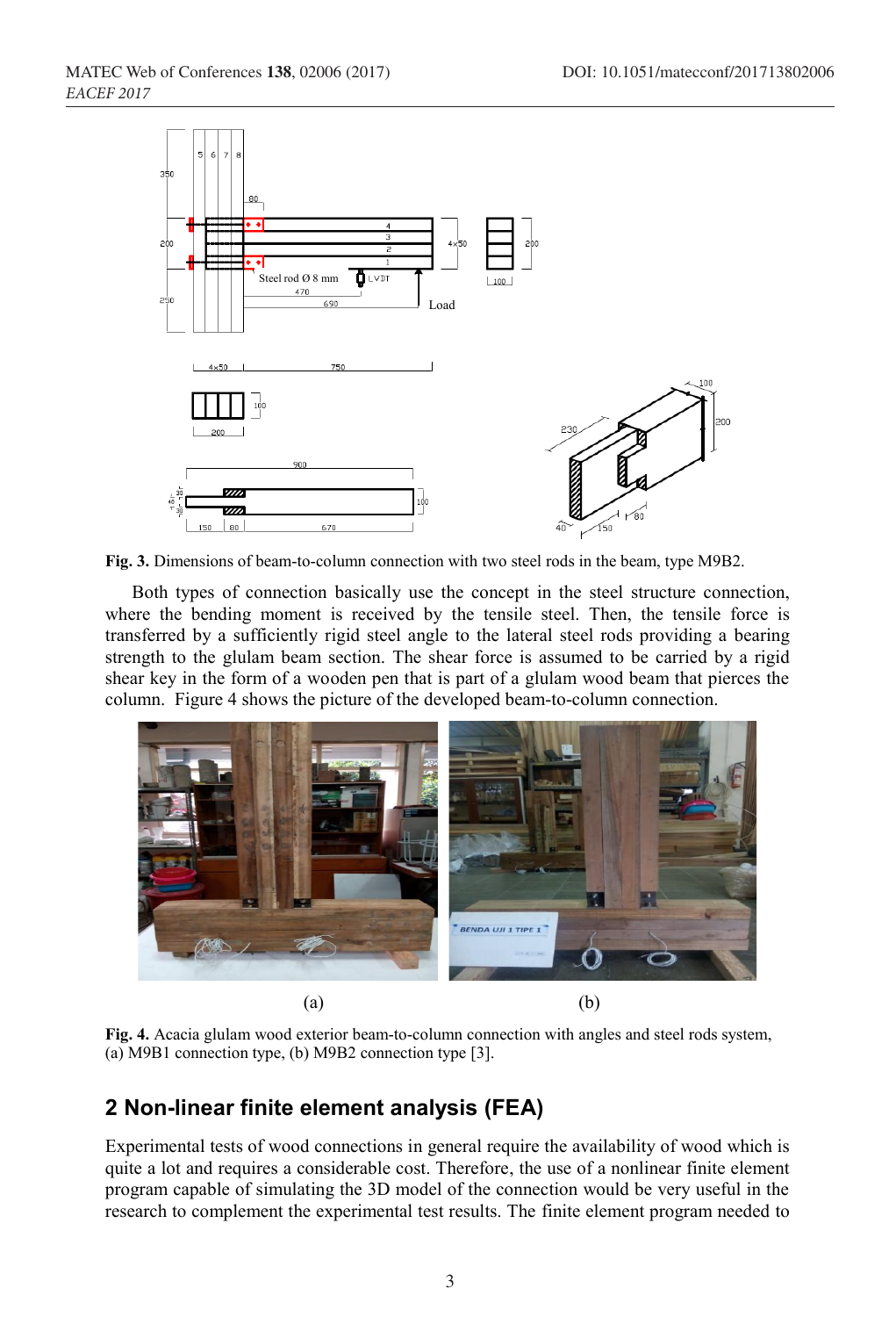

**Fig. 3.** Dimensions of beam-to-column connection with two steel rods in the beam, type M9B2.

Both types of connection basically use the concept in the steel structure connection, where the bending moment is received by the tensile steel. Then, the tensile force is transferred by a sufficiently rigid steel angle to the lateral steel rods providing a bearing strength to the glulam beam section. The shear force is assumed to be carried by a rigid shear key in the form of a wooden pen that is part of a glulam wood beam that pierces the column. Figure 4 shows the picture of the developed beam-to-column connection.



**Fig. 4.** Acacia glulam wood exterior beam-to-column connection with angles and steel rods system, (a) M9B1 connection type, (b) M9B2 connection type [3].

## **2 Non-linear finite element analysis (FEA)**

Experimental tests of wood connections in general require the availability of wood which is quite a lot and requires a considerable cost. Therefore, the use of a nonlinear finite element program capable of simulating the 3D model of the connection would be very useful in the research to complement the experimental test results. The finite element program needed to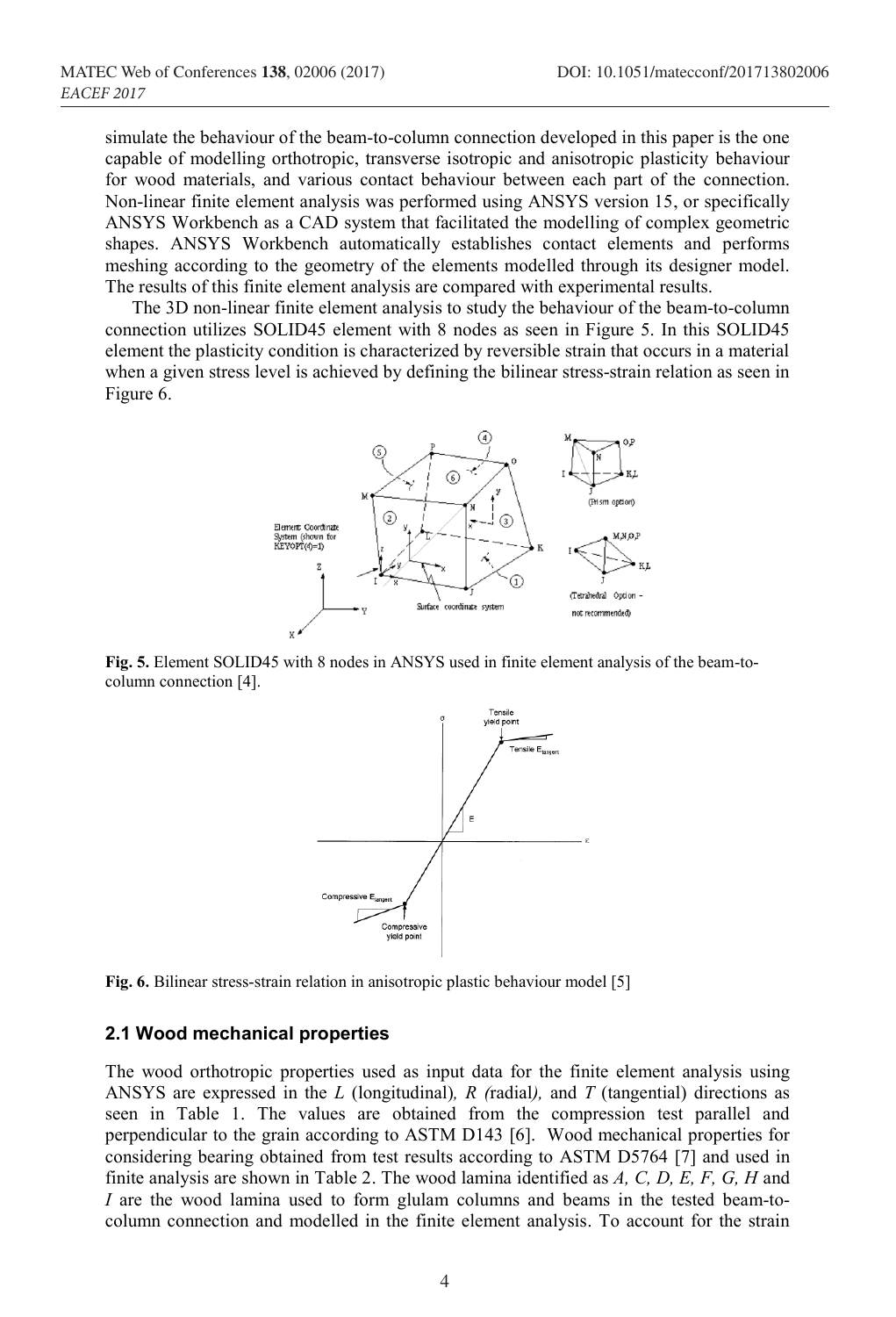simulate the behaviour of the beam-to-column connection developed in this paper is the one capable of modelling orthotropic, transverse isotropic and anisotropic plasticity behaviour for wood materials, and various contact behaviour between each part of the connection. Non-linear finite element analysis was performed using ANSYS version 15, or specifically ANSYS Workbench as a CAD system that facilitated the modelling of complex geometric shapes. ANSYS Workbench automatically establishes contact elements and performs meshing according to the geometry of the elements modelled through its designer model. The results of this finite element analysis are compared with experimental results.

The 3D non-linear finite element analysis to study the behaviour of the beam-to-column connection utilizes SOLID45 element with 8 nodes as seen in Figure 5. In this SOLID45 element the plasticity condition is characterized by reversible strain that occurs in a material when a given stress level is achieved by defining the bilinear stress-strain relation as seen in Figure 6.



**Fig. 5.** Element SOLID45 with 8 nodes in ANSYS used in finite element analysis of the beam-tocolumn connection [4].



**Fig. 6.** Bilinear stress-strain relation in anisotropic plastic behaviour model [5]

#### **2.1 Wood mechanical properties**

The wood orthotropic properties used as input data for the finite element analysis using ANSYS are expressed in the *L* (longitudinal)*, R (*radial*),* and *T* (tangential) directions as seen in Table 1. The values are obtained from the compression test parallel and perpendicular to the grain according to ASTM D143 [6]. Wood mechanical properties for considering bearing obtained from test results according to ASTM D5764 [7] and used in finite analysis are shown in Table 2. The wood lamina identified as *A, C, D, E, F, G, H* and *I* are the wood lamina used to form glulam columns and beams in the tested beam-tocolumn connection and modelled in the finite element analysis. To account for the strain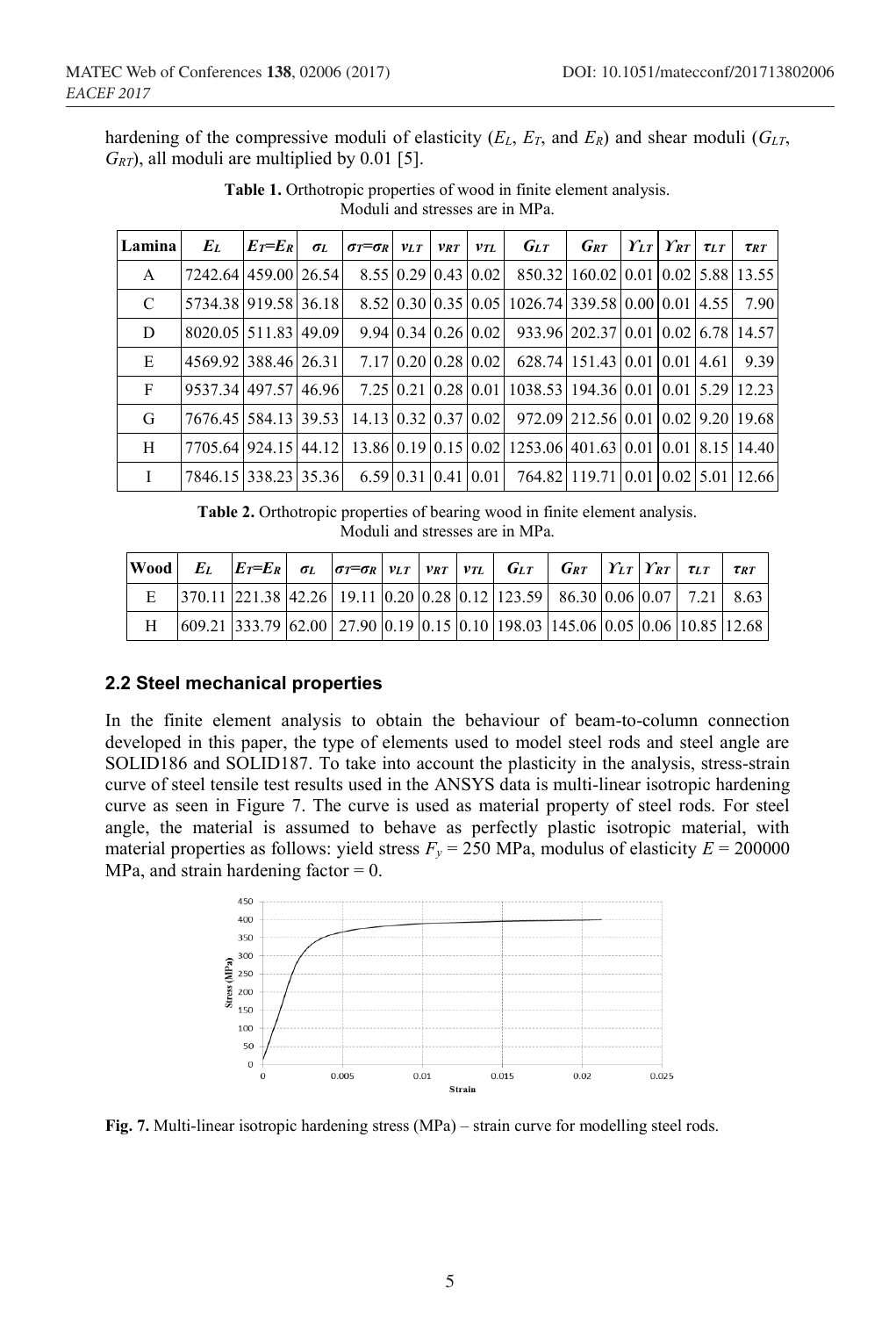hardening of the compressive moduli of elasticity (*EL*, *ET*, and *ER*) and shear moduli (*GLT*, *GRT*), all moduli are multiplied by 0.01 [5].

| Lamina       | $E_L$                | $E\tau=E_R$ | $\sigma_L$ | $\sigma\tau = \sigma R$ $v_{LT}$ $v_{RT}$ $v_{TL}$ |  | $G_{LT}$                                                                                              | $\bm{G}$ RT | $\left  \gamma_{LT} \right  \gamma_{RT}$ $\tau_{LT}$ |  | $\tau_{RT}$ |
|--------------|----------------------|-------------|------------|----------------------------------------------------|--|-------------------------------------------------------------------------------------------------------|-------------|------------------------------------------------------|--|-------------|
| $\mathbf{A}$ | 7242.64 459.00 26.54 |             |            |                                                    |  | 8.55 0.29 0.43 0.02 850.32 160.02 0.01 0.02 5.88 13.55                                                |             |                                                      |  |             |
| C            | 5734.38 919.58 36.18 |             |            |                                                    |  | 8.52 0.30 0.35 0.05 1026.74 339.58 0.00 0.01 4.55 7.90                                                |             |                                                      |  |             |
| D            | 8020.05 511.83 49.09 |             |            |                                                    |  | $9.94 \mid 0.34 \mid 0.26 \mid 0.02 \mid 933.96 \mid 202.37 \mid 0.01 \mid 0.02 \mid 6.78 \mid 14.57$ |             |                                                      |  |             |
| E            | 4569.921388.46126.31 |             |            |                                                    |  | 7.17 0.20 0.28 0.02 628.74 151.43 0.01 0.01 4.61 9.39                                                 |             |                                                      |  |             |
| F            | 9537.34 497.57 46.96 |             |            |                                                    |  | 7.25 0.21 0.28 0.01 1038.53 194.36 0.01 0.01 5.29 12.23                                               |             |                                                      |  |             |
| G            | 7676.45 584.13 39.53 |             |            |                                                    |  | 14.13 0.32 0.37 0.02 972.09 212.56 0.01 0.02 9.20 19.68                                               |             |                                                      |  |             |
| H            |                      |             |            |                                                    |  | 7705.64 924.15 44.12 13.86 0.19 0.15 0.02 1253.06 401.63 0.01 0.01 8.15 14.40                         |             |                                                      |  |             |
| $\mathbf{I}$ | 7846.15 338.23 35.36 |             |            |                                                    |  | 6.59 0.31 0.41 0.01   764.82   119.71   0.01   0.02   5.01   12.66                                    |             |                                                      |  |             |

**Table 1.** Orthotropic properties of wood in finite element analysis. Moduli and stresses are in MPa.

**Table 2.** Orthotropic properties of bearing wood in finite element analysis. Moduli and stresses are in MPa.

|   | Wood EL $ E_T =E_R$ ol $ \sigma_T =\sigma_R$ $ v_{LT}  v_{RT}$ $ v_{TL} $ $G_{LT}$ $ G_{RT} $ $Y_{LT}  Y_{RT}$ $\tau_{LT}$                                 |  |  |  |  |  | $\tau_{RT}$ |
|---|------------------------------------------------------------------------------------------------------------------------------------------------------------|--|--|--|--|--|-------------|
| E | $\left 370.11\right 221.38\left 42.26\right 19.11\left 0.20\right 0.28\left 0.12\right 123.59\left 86.30\right 0.06\left 0.07\right 7.21\left 8.63\right $ |  |  |  |  |  |             |
| H | $(609.21 \, 333.79 \, 62.00 \, 27.90 \, 0.19 \, 0.15 \, 0.10 \, 198.03 \, 145.06 \, 0.05 \, 0.06 \, 10.85 \, 12.68)$                                       |  |  |  |  |  |             |

#### **2.2 Steel mechanical properties**

In the finite element analysis to obtain the behaviour of beam-to-column connection developed in this paper, the type of elements used to model steel rods and steel angle are SOLID186 and SOLID187. To take into account the plasticity in the analysis, stress-strain curve of steel tensile test results used in the ANSYS data is multi-linear isotropic hardening curve as seen in Figure 7. The curve is used as material property of steel rods. For steel angle, the material is assumed to behave as perfectly plastic isotropic material, with material properties as follows: yield stress  $F_y = 250$  MPa, modulus of elasticity  $E = 200000$ MPa, and strain hardening factor  $= 0$ .



**Fig. 7.** Multi-linear isotropic hardening stress (MPa) – strain curve for modelling steel rods.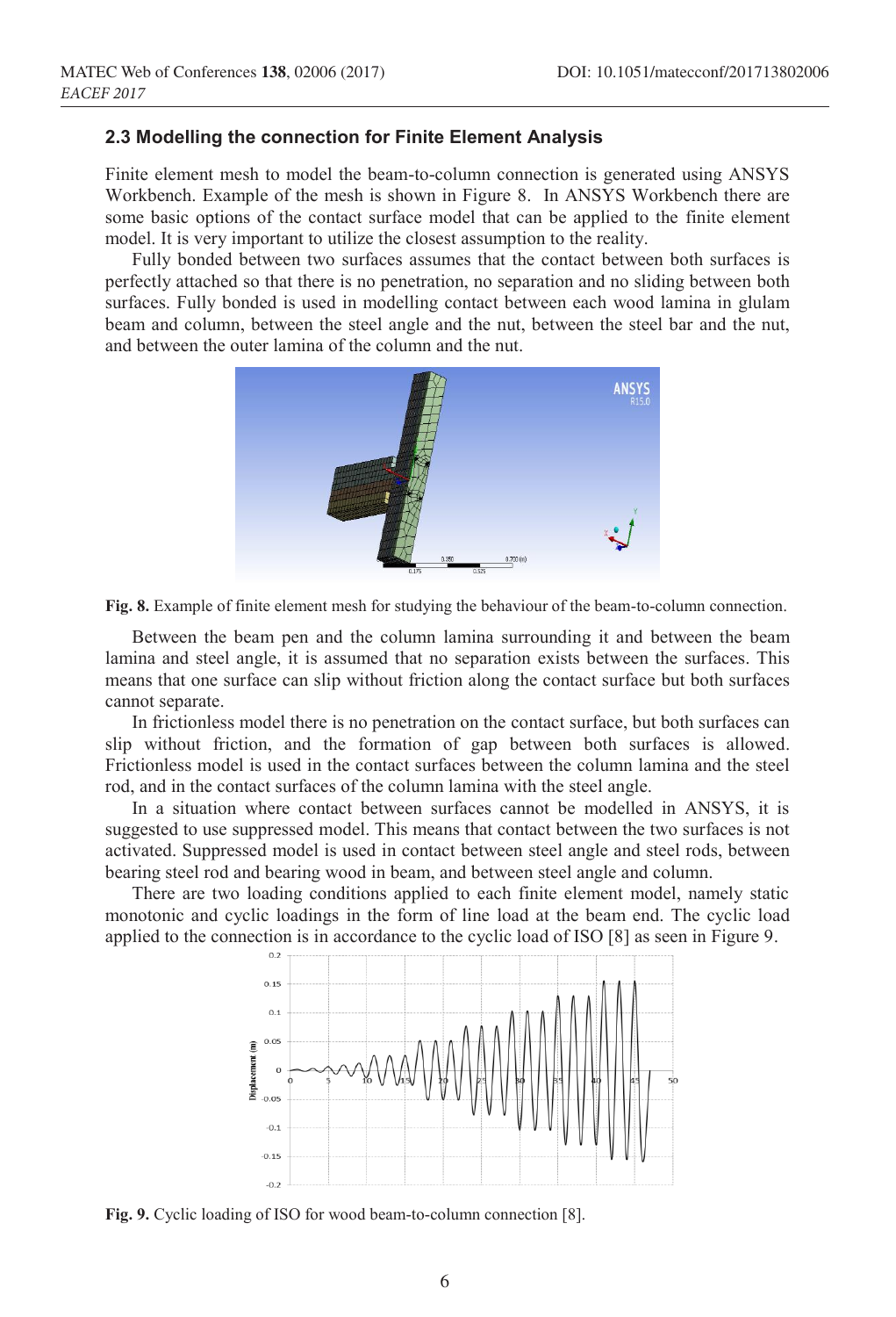#### **2.3 Modelling the connection for Finite Element Analysis**

Finite element mesh to model the beam-to-column connection is generated using ANSYS Workbench. Example of the mesh is shown in Figure 8. In ANSYS Workbench there are some basic options of the contact surface model that can be applied to the finite element model. It is very important to utilize the closest assumption to the reality.

Fully bonded between two surfaces assumes that the contact between both surfaces is perfectly attached so that there is no penetration, no separation and no sliding between both surfaces. Fully bonded is used in modelling contact between each wood lamina in glulam beam and column, between the steel angle and the nut, between the steel bar and the nut, and between the outer lamina of the column and the nut.



**Fig. 8.** Example of finite element mesh for studying the behaviour of the beam-to-column connection.

Between the beam pen and the column lamina surrounding it and between the beam lamina and steel angle, it is assumed that no separation exists between the surfaces. This means that one surface can slip without friction along the contact surface but both surfaces cannot separate.

In frictionless model there is no penetration on the contact surface, but both surfaces can slip without friction, and the formation of gap between both surfaces is allowed. Frictionless model is used in the contact surfaces between the column lamina and the steel rod, and in the contact surfaces of the column lamina with the steel angle.

In a situation where contact between surfaces cannot be modelled in ANSYS, it is suggested to use suppressed model. This means that contact between the two surfaces is not activated. Suppressed model is used in contact between steel angle and steel rods, between bearing steel rod and bearing wood in beam, and between steel angle and column.

There are two loading conditions applied to each finite element model, namely static monotonic and cyclic loadings in the form of line load at the beam end. The cyclic load applied to the connection is in accordance to the cyclic load of ISO [8] as seen in Figure 9.



**Fig. 9.** Cyclic loading of ISO for wood beam-to-column connection [8].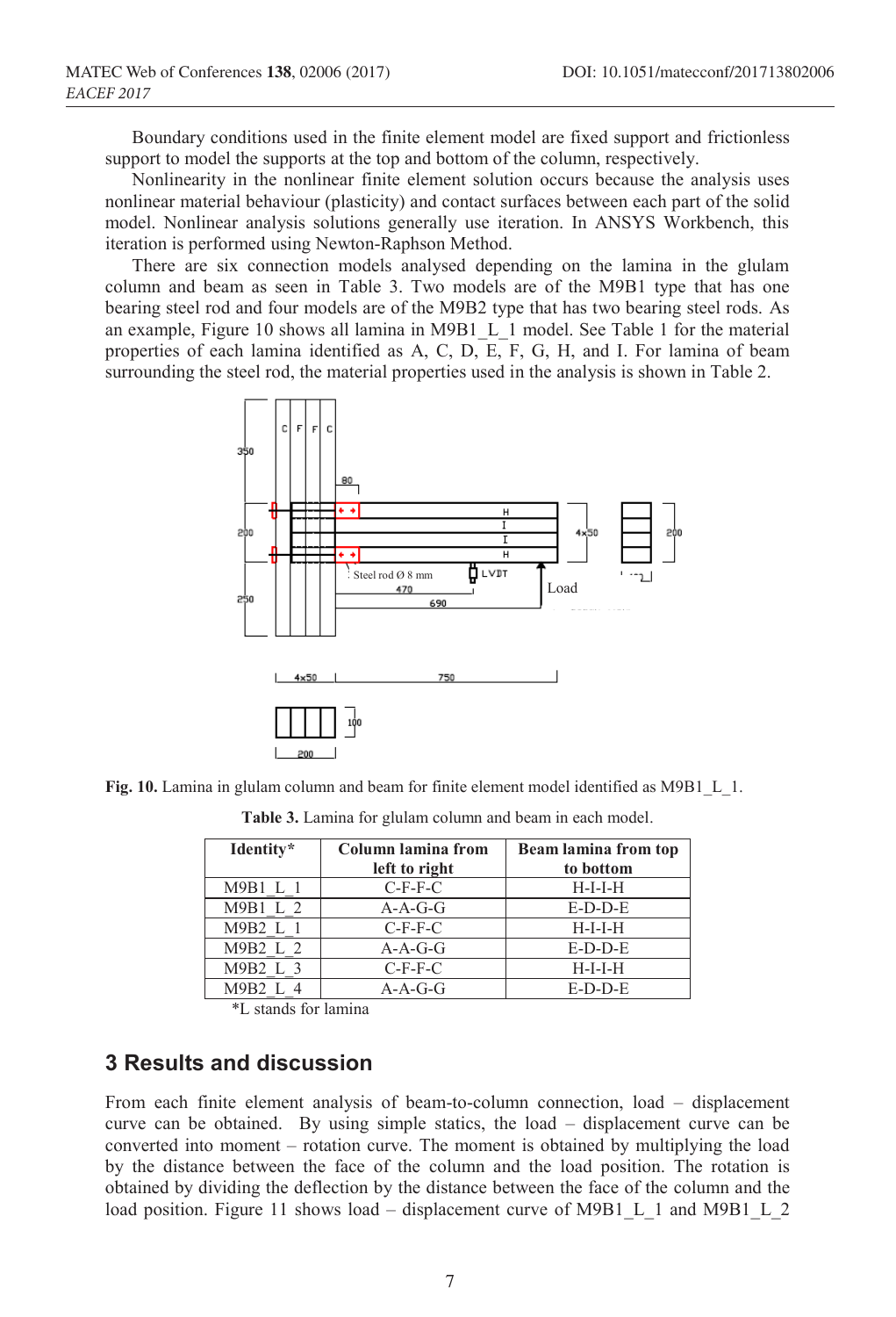Boundary conditions used in the finite element model are fixed support and frictionless support to model the supports at the top and bottom of the column, respectively.

Nonlinearity in the nonlinear finite element solution occurs because the analysis uses nonlinear material behaviour (plasticity) and contact surfaces between each part of the solid model. Nonlinear analysis solutions generally use iteration. In ANSYS Workbench, this iteration is performed using Newton-Raphson Method.

There are six connection models analysed depending on the lamina in the glulam column and beam as seen in Table 3. Two models are of the M9B1 type that has one bearing steel rod and four models are of the M9B2 type that has two bearing steel rods. As an example, Figure 10 shows all lamina in M9B1\_L\_1 model. See Table 1 for the material properties of each lamina identified as A, C,  $D$ ,  $E$ , F, G, H, and I. For lamina of beam surrounding the steel rod, the material properties used in the analysis is shown in Table 2.



**Fig. 10.** Lamina in glulam column and beam for finite element model identified as M9B1\_L\_1.

| Identity* | Column lamina from | <b>Beam lamina from top</b> |  |  |  |
|-----------|--------------------|-----------------------------|--|--|--|
|           | left to right      | to bottom                   |  |  |  |
| M9B1 L 1  | $C-F-F-C$          | $H-I-I-H$                   |  |  |  |
| M9B1 L 2  | $A-A-G-G$          | $E-D-D-E$                   |  |  |  |
| M9B2 L 1  | $C-F-F-C$          | $H-I-I-H$                   |  |  |  |
| M9B2 L 2  | $A-A-G-G$          | $E-D-D-E$                   |  |  |  |
| M9B2 L 3  | $C-F-F-C$          | $H-I-I-H$                   |  |  |  |
| M9B2 L 4  | $A-A-G-G$          | $E-D-D-E$                   |  |  |  |

**Table 3.** Lamina for glulam column and beam in each model.

\*L stands for lamina

### **3 Results and discussion**

From each finite element analysis of beam-to-column connection, load – displacement curve can be obtained. By using simple statics, the load – displacement curve can be converted into moment – rotation curve. The moment is obtained by multiplying the load by the distance between the face of the column and the load position. The rotation is obtained by dividing the deflection by the distance between the face of the column and the load position. Figure 11 shows load – displacement curve of M9B1 L 1 and M9B1 L 2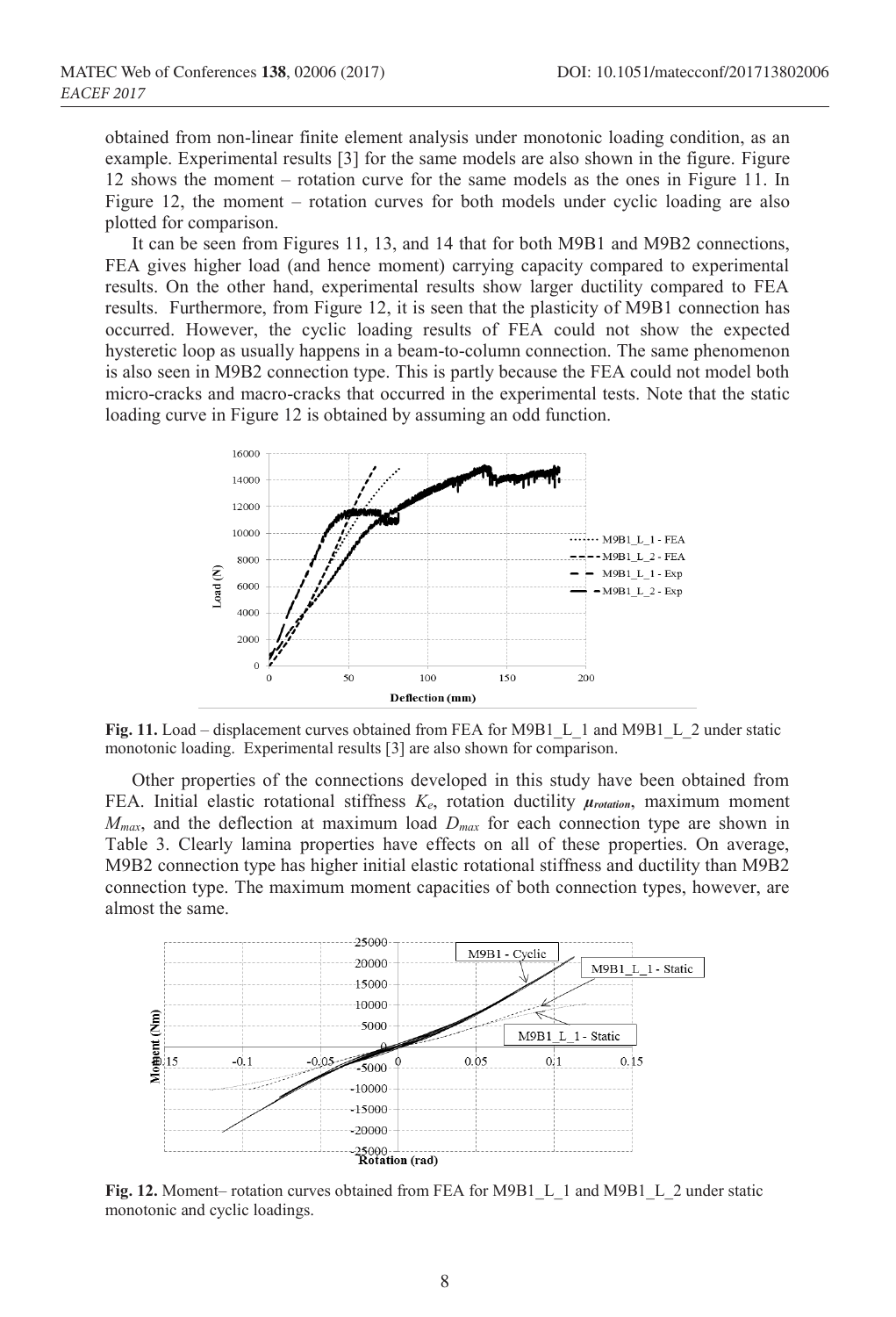obtained from non-linear finite element analysis under monotonic loading condition, as an example. Experimental results [3] for the same models are also shown in the figure. Figure 12 shows the moment – rotation curve for the same models as the ones in Figure 11. In Figure 12, the moment – rotation curves for both models under cyclic loading are also plotted for comparison.

It can be seen from Figures 11, 13, and 14 that for both M9B1 and M9B2 connections, FEA gives higher load (and hence moment) carrying capacity compared to experimental results. On the other hand, experimental results show larger ductility compared to FEA results. Furthermore, from Figure 12, it is seen that the plasticity of M9B1 connection has occurred. However, the cyclic loading results of FEA could not show the expected hysteretic loop as usually happens in a beam-to-column connection. The same phenomenon is also seen in M9B2 connection type. This is partly because the FEA could not model both micro-cracks and macro-cracks that occurred in the experimental tests. Note that the static loading curve in Figure 12 is obtained by assuming an odd function.



Fig. 11. Load – displacement curves obtained from FEA for M9B1 L 1 and M9B1 L 2 under static monotonic loading. Experimental results [3] are also shown for comparison.

Other properties of the connections developed in this study have been obtained from FEA. Initial elastic rotational stiffness *Ke*, rotation ductility *µrotation*, maximum moment  $M_{max}$ , and the deflection at maximum load  $D_{max}$  for each connection type are shown in Table 3. Clearly lamina properties have effects on all of these properties. On average, M9B2 connection type has higher initial elastic rotational stiffness and ductility than M9B2 connection type. The maximum moment capacities of both connection types, however, are almost the same.



**Fig. 12.** Moment– rotation curves obtained from FEA for M9B1\_L\_1 and M9B1\_L\_2 under static monotonic and cyclic loadings.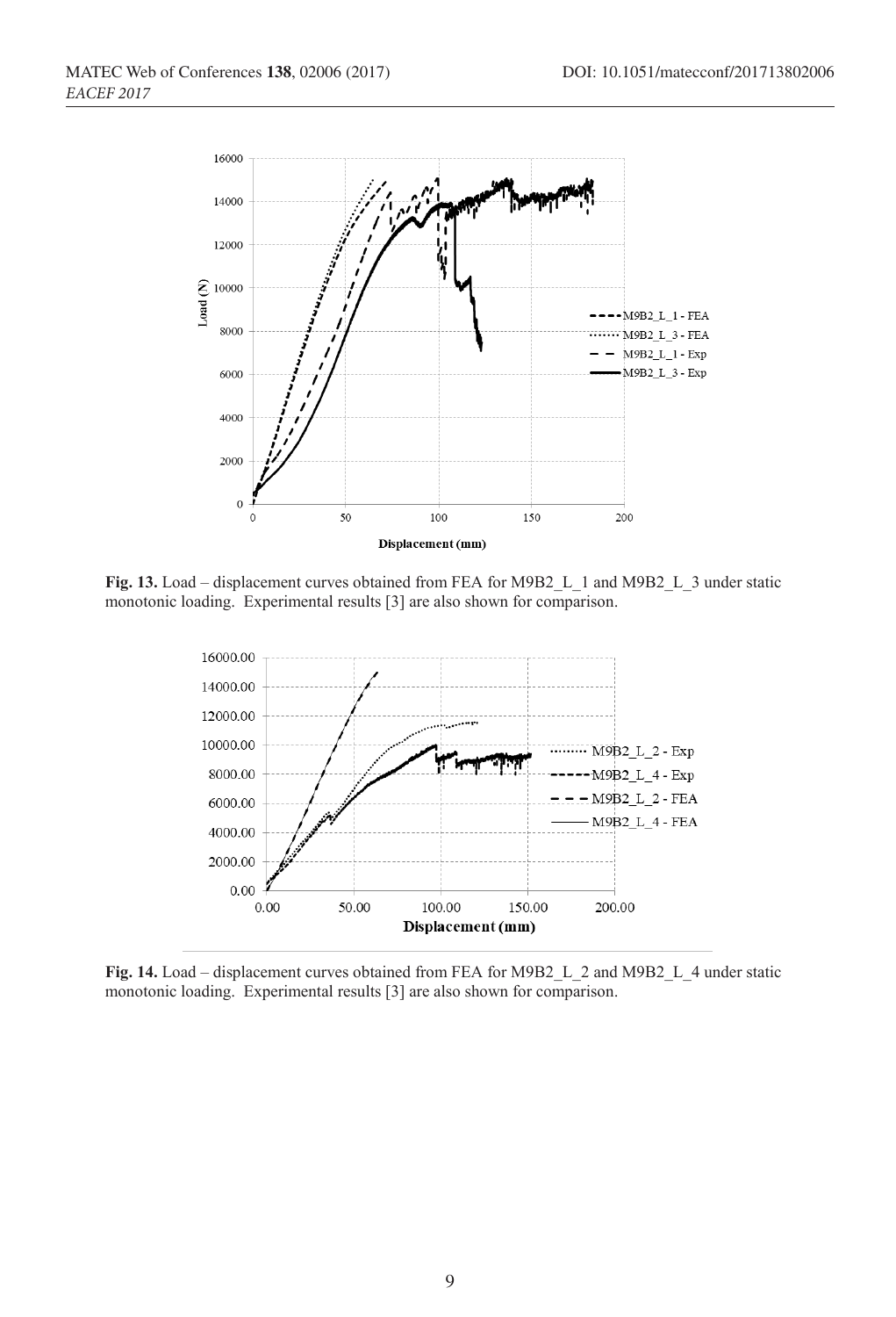

**Fig. 13.** Load – displacement curves obtained from FEA for M9B2\_L\_1 and M9B2\_L\_3 under static monotonic loading. Experimental results [3] are also shown for comparison.



**Fig. 14.** Load – displacement curves obtained from FEA for M9B2\_L\_2 and M9B2\_L\_4 under static monotonic loading. Experimental results [3] are also shown for comparison.